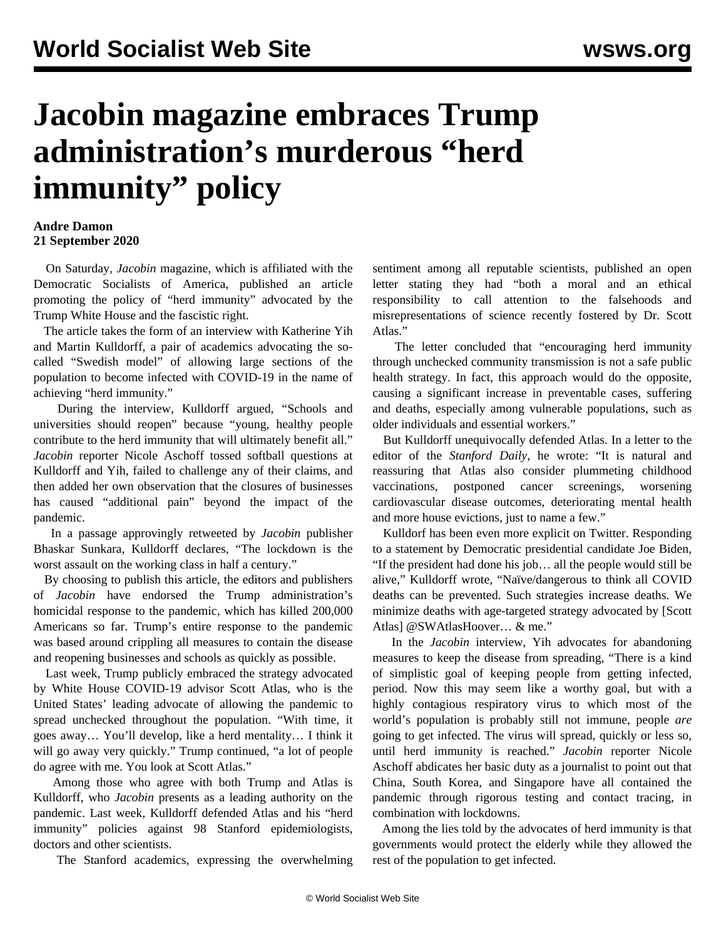## **Jacobin magazine embraces Trump administration's murderous "herd immunity" policy**

## **Andre Damon 21 September 2020**

 On Saturday, *Jacobin* magazine, which is affiliated with the Democratic Socialists of America, [published an article](https://www.jacobinmag.com/2020/09/covid-19-pandemic-economy-us-response-inequality) promoting the policy of "herd immunity" advocated by the Trump White House and the fascistic right.

 The article takes the form of an interview with Katherine Yih and Martin Kulldorff, a pair of academics advocating the socalled "Swedish model" of allowing large sections of the population to become infected with COVID-19 in the name of achieving "herd immunity."

 During the interview, Kulldorff argued, "Schools and universities should reopen" because "young, healthy people contribute to the herd immunity that will ultimately benefit all." *Jacobin* reporter Nicole Aschoff tossed softball questions at Kulldorff and Yih, failed to challenge any of their claims, and then added her own observation that the closures of businesses has caused "additional pain" beyond the impact of the pandemic.

 In a passage approvingly retweeted by *Jacobin* publisher Bhaskar Sunkara, Kulldorff declares, "The lockdown is the worst assault on the working class in half a century."

 By choosing to publish this article, the editors and publishers of *Jacobin* have endorsed the Trump administration's homicidal response to the pandemic, which has killed 200,000 Americans so far. Trump's entire response to the pandemic was based around crippling all measures to contain the disease and reopening businesses and schools as quickly as possible.

 Last week, Trump publicly embraced the strategy advocated by White House COVID-19 advisor Scott Atlas, who is the United States' leading advocate of allowing the pandemic to spread unchecked throughout the population. "With time, it goes away… You'll develop, like a herd mentality… I think it will go away very quickly." Trump continued, "a lot of people do agree with me. You look at Scott Atlas."

 Among those who agree with both Trump and Atlas is Kulldorff, who *Jacobin* presents as a leading authority on the pandemic. Last week, Kulldorff defended Atlas and his "herd immunity" policies against 98 Stanford epidemiologists, doctors and other scientists.

The Stanford academics, expressing the overwhelming

sentiment among all reputable scientists, published an open letter stating they had "both a moral and an ethical responsibility to call attention to the falsehoods and misrepresentations of science recently fostered by Dr. Scott Atlas."

 The letter concluded that "encouraging herd immunity through unchecked community transmission is not a safe public health strategy. In fact, this approach would do the opposite, causing a significant increase in preventable cases, suffering and deaths, especially among vulnerable populations, such as older individuals and essential workers."

 But Kulldorff unequivocally defended Atlas. In a letter to the editor of the *Stanford Daily*, he wrote: "It is natural and reassuring that Atlas also consider plummeting childhood vaccinations, postponed cancer screenings, worsening cardiovascular disease outcomes, deteriorating mental health and more house evictions, just to name a few."

 Kulldorf has been even more explicit on Twitter. Responding to a statement by Democratic presidential candidate Joe Biden, "If the president had done his job… all the people would still be alive," Kulldorff wrote, "Naïve/dangerous to think all COVID deaths can be prevented. Such strategies increase deaths. We minimize deaths with age-targeted strategy advocated by [Scott Atlas] @SWAtlasHoover… & me."

 In the *Jacobin* interview, Yih advocates for abandoning measures to keep the disease from spreading, "There is a kind of simplistic goal of keeping people from getting infected, period. Now this may seem like a worthy goal, but with a highly contagious respiratory virus to which most of the world's population is probably still not immune, people *are* going to get infected. The virus will spread, quickly or less so, until herd immunity is reached." *Jacobin* reporter Nicole Aschoff abdicates her basic duty as a journalist to point out that China, South Korea, and Singapore have all contained the pandemic through rigorous testing and contact tracing, in combination with lockdowns.

 Among the lies told by the advocates of herd immunity is that governments would protect the elderly while they allowed the rest of the population to get infected.